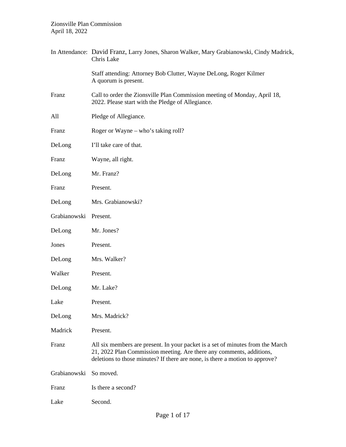|              | In Attendance: David Franz, Larry Jones, Sharon Walker, Mary Grabianowski, Cindy Madrick,<br>Chris Lake                                                                                                                                |
|--------------|----------------------------------------------------------------------------------------------------------------------------------------------------------------------------------------------------------------------------------------|
|              | Staff attending: Attorney Bob Clutter, Wayne DeLong, Roger Kilmer<br>A quorum is present.                                                                                                                                              |
| Franz        | Call to order the Zionsville Plan Commission meeting of Monday, April 18,<br>2022. Please start with the Pledge of Allegiance.                                                                                                         |
| All          | Pledge of Allegiance.                                                                                                                                                                                                                  |
| Franz        | Roger or Wayne – who's taking roll?                                                                                                                                                                                                    |
| DeLong       | I'll take care of that.                                                                                                                                                                                                                |
| Franz        | Wayne, all right.                                                                                                                                                                                                                      |
| DeLong       | Mr. Franz?                                                                                                                                                                                                                             |
| Franz        | Present.                                                                                                                                                                                                                               |
| DeLong       | Mrs. Grabianowski?                                                                                                                                                                                                                     |
| Grabianowski | Present.                                                                                                                                                                                                                               |
| DeLong       | Mr. Jones?                                                                                                                                                                                                                             |
| Jones        | Present.                                                                                                                                                                                                                               |
| DeLong       | Mrs. Walker?                                                                                                                                                                                                                           |
| Walker       | Present.                                                                                                                                                                                                                               |
| DeLong       | Mr. Lake?                                                                                                                                                                                                                              |
| Lake         | Present.                                                                                                                                                                                                                               |
| DeLong       | Mrs. Madrick?                                                                                                                                                                                                                          |
| Madrick      | Present.                                                                                                                                                                                                                               |
| Franz        | All six members are present. In your packet is a set of minutes from the March<br>21, 2022 Plan Commission meeting. Are there any comments, additions,<br>deletions to those minutes? If there are none, is there a motion to approve? |
| Grabianowski | So moved.                                                                                                                                                                                                                              |
| Franz        | Is there a second?                                                                                                                                                                                                                     |
| Lake         | Second.                                                                                                                                                                                                                                |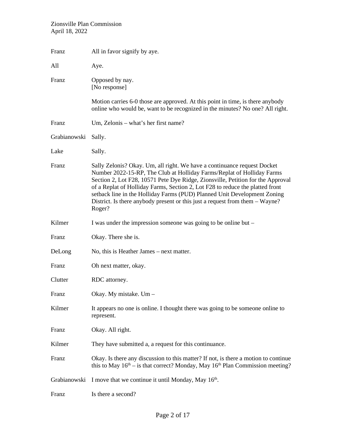| Franz        | All in favor signify by aye.                                                                                                                                                                                                                                                                                                                                                                                                                                                                 |
|--------------|----------------------------------------------------------------------------------------------------------------------------------------------------------------------------------------------------------------------------------------------------------------------------------------------------------------------------------------------------------------------------------------------------------------------------------------------------------------------------------------------|
| All          | Aye.                                                                                                                                                                                                                                                                                                                                                                                                                                                                                         |
| Franz        | Opposed by nay.<br>[No response]                                                                                                                                                                                                                                                                                                                                                                                                                                                             |
|              | Motion carries 6-0 those are approved. At this point in time, is there anybody<br>online who would be, want to be recognized in the minutes? No one? All right.                                                                                                                                                                                                                                                                                                                              |
| Franz        | Um, Zelonis – what's her first name?                                                                                                                                                                                                                                                                                                                                                                                                                                                         |
| Grabianowski | Sally.                                                                                                                                                                                                                                                                                                                                                                                                                                                                                       |
| Lake         | Sally.                                                                                                                                                                                                                                                                                                                                                                                                                                                                                       |
| Franz        | Sally Zelonis? Okay. Um, all right. We have a continuance request Docket<br>Number 2022-15-RP, The Club at Holliday Farms/Replat of Holliday Farms<br>Section 2, Lot F28, 10571 Pete Dye Ridge, Zionsville, Petition for the Approval<br>of a Replat of Holliday Farms, Section 2, Lot F28 to reduce the platted front<br>setback line in the Holliday Farms (PUD) Planned Unit Development Zoning<br>District. Is there anybody present or this just a request from them – Wayne?<br>Roger? |
| Kilmer       | I was under the impression someone was going to be online but –                                                                                                                                                                                                                                                                                                                                                                                                                              |
| Franz        | Okay. There she is.                                                                                                                                                                                                                                                                                                                                                                                                                                                                          |
| DeLong       | No, this is Heather James – next matter.                                                                                                                                                                                                                                                                                                                                                                                                                                                     |
| Franz        | Oh next matter, okay.                                                                                                                                                                                                                                                                                                                                                                                                                                                                        |
| Clutter      | RDC attorney.                                                                                                                                                                                                                                                                                                                                                                                                                                                                                |
| Franz        | Okay. My mistake. Um -                                                                                                                                                                                                                                                                                                                                                                                                                                                                       |
| Kilmer       | It appears no one is online. I thought there was going to be someone online to<br>represent.                                                                                                                                                                                                                                                                                                                                                                                                 |
| Franz        | Okay. All right.                                                                                                                                                                                                                                                                                                                                                                                                                                                                             |
| Kilmer       | They have submitted a, a request for this continuance.                                                                                                                                                                                                                                                                                                                                                                                                                                       |
| Franz        | Okay. Is there any discussion to this matter? If not, is there a motion to continue<br>this to May $16th -$ is that correct? Monday, May $16th$ Plan Commission meeting?                                                                                                                                                                                                                                                                                                                     |
| Grabianowski | I move that we continue it until Monday, May 16 <sup>th</sup> .                                                                                                                                                                                                                                                                                                                                                                                                                              |
| Franz        | Is there a second?                                                                                                                                                                                                                                                                                                                                                                                                                                                                           |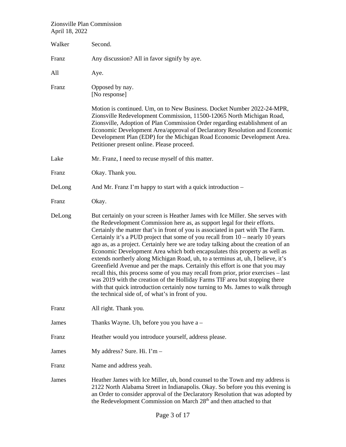| Walker | Second.                                                                                                                                                                                                                                                                                                                                                                                                                                                                                                                                                                                                                                                                                                                                                                                                                                                                                                                                                                                     |
|--------|---------------------------------------------------------------------------------------------------------------------------------------------------------------------------------------------------------------------------------------------------------------------------------------------------------------------------------------------------------------------------------------------------------------------------------------------------------------------------------------------------------------------------------------------------------------------------------------------------------------------------------------------------------------------------------------------------------------------------------------------------------------------------------------------------------------------------------------------------------------------------------------------------------------------------------------------------------------------------------------------|
| Franz  | Any discussion? All in favor signify by aye.                                                                                                                                                                                                                                                                                                                                                                                                                                                                                                                                                                                                                                                                                                                                                                                                                                                                                                                                                |
| All    | Aye.                                                                                                                                                                                                                                                                                                                                                                                                                                                                                                                                                                                                                                                                                                                                                                                                                                                                                                                                                                                        |
| Franz  | Opposed by nay.<br>[No response]                                                                                                                                                                                                                                                                                                                                                                                                                                                                                                                                                                                                                                                                                                                                                                                                                                                                                                                                                            |
|        | Motion is continued. Um, on to New Business. Docket Number 2022-24-MPR,<br>Zionsville Redevelopment Commission, 11500-12065 North Michigan Road,<br>Zionsville, Adoption of Plan Commission Order regarding establishment of an<br>Economic Development Area/approval of Declaratory Resolution and Economic<br>Development Plan (EDP) for the Michigan Road Economic Development Area.<br>Petitioner present online. Please proceed.                                                                                                                                                                                                                                                                                                                                                                                                                                                                                                                                                       |
| Lake   | Mr. Franz, I need to recuse myself of this matter.                                                                                                                                                                                                                                                                                                                                                                                                                                                                                                                                                                                                                                                                                                                                                                                                                                                                                                                                          |
| Franz  | Okay. Thank you.                                                                                                                                                                                                                                                                                                                                                                                                                                                                                                                                                                                                                                                                                                                                                                                                                                                                                                                                                                            |
| DeLong | And Mr. Franz I'm happy to start with a quick introduction –                                                                                                                                                                                                                                                                                                                                                                                                                                                                                                                                                                                                                                                                                                                                                                                                                                                                                                                                |
| Franz  | Okay.                                                                                                                                                                                                                                                                                                                                                                                                                                                                                                                                                                                                                                                                                                                                                                                                                                                                                                                                                                                       |
| DeLong | But certainly on your screen is Heather James with Ice Miller. She serves with<br>the Redevelopment Commission here as, as support legal for their efforts.<br>Certainly the matter that's in front of you is associated in part with The Farm.<br>Certainly it's a PUD project that some of you recall from $10$ – nearly 10 years<br>ago as, as a project. Certainly here we are today talking about the creation of an<br>Economic Development Area which both encapsulates this property as well as<br>extends northerly along Michigan Road, uh, to a terminus at, uh, I believe, it's<br>Greenfield Avenue and per the maps. Certainly this effort is one that you may<br>recall this, this process some of you may recall from prior, prior exercises – last<br>was 2019 with the creation of the Holliday Farms TIF area but stopping there<br>with that quick introduction certainly now turning to Ms. James to walk through<br>the technical side of, of what's in front of you. |
| Franz  | All right. Thank you.                                                                                                                                                                                                                                                                                                                                                                                                                                                                                                                                                                                                                                                                                                                                                                                                                                                                                                                                                                       |
| James  | Thanks Wayne. Uh, before you you have $a -$                                                                                                                                                                                                                                                                                                                                                                                                                                                                                                                                                                                                                                                                                                                                                                                                                                                                                                                                                 |
| Franz  | Heather would you introduce yourself, address please.                                                                                                                                                                                                                                                                                                                                                                                                                                                                                                                                                                                                                                                                                                                                                                                                                                                                                                                                       |
| James  | My address? Sure. Hi. I'm -                                                                                                                                                                                                                                                                                                                                                                                                                                                                                                                                                                                                                                                                                                                                                                                                                                                                                                                                                                 |
| Franz  | Name and address yeah.                                                                                                                                                                                                                                                                                                                                                                                                                                                                                                                                                                                                                                                                                                                                                                                                                                                                                                                                                                      |
| James  | Heather James with Ice Miller, uh, bond counsel to the Town and my address is<br>2122 North Alabama Street in Indianapolis. Okay. So before you this evening is<br>an Order to consider approval of the Declaratory Resolution that was adopted by<br>the Redevelopment Commission on March 28 <sup>th</sup> and then attached to that                                                                                                                                                                                                                                                                                                                                                                                                                                                                                                                                                                                                                                                      |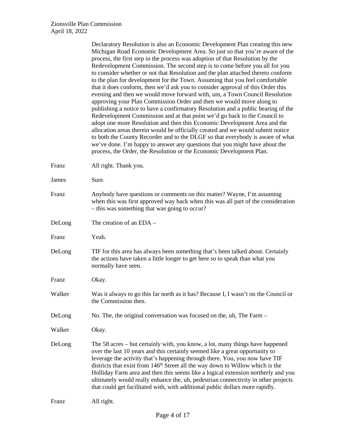|        | Declaratory Resolution is also an Economic Development Plan creating this new<br>Michigan Road Economic Development Area. So just so that you're aware of the<br>process, the first step in the process was adoption of that Resolution by the<br>Redevelopment Commission. The second step is to come before you all for you<br>to consider whether or not that Resolution and the plan attached thereto conform<br>to the plan for development for the Town. Assuming that you feel comfortable<br>that it does conform, then we'd ask you to consider approval of this Order this<br>evening and then we would move forward with, um, a Town Council Resolution<br>approving your Plan Commission Order and then we would move along to<br>publishing a notice to have a confirmatory Resolution and a public hearing of the<br>Redevelopment Commission and at that point we'd go back to the Council to<br>adopt one more Resolution and then this Economic Development Area and the<br>allocation areas therein would be officially created and we would submit notice<br>to both the County Recorder and to the DLGF so that everybody is aware of what<br>we've done. I'm happy to answer any questions that you might have about the<br>process, the Order, the Resolution or the Economic Development Plan. |
|--------|-----------------------------------------------------------------------------------------------------------------------------------------------------------------------------------------------------------------------------------------------------------------------------------------------------------------------------------------------------------------------------------------------------------------------------------------------------------------------------------------------------------------------------------------------------------------------------------------------------------------------------------------------------------------------------------------------------------------------------------------------------------------------------------------------------------------------------------------------------------------------------------------------------------------------------------------------------------------------------------------------------------------------------------------------------------------------------------------------------------------------------------------------------------------------------------------------------------------------------------------------------------------------------------------------------------------------|
| Franz  | All right. Thank you.                                                                                                                                                                                                                                                                                                                                                                                                                                                                                                                                                                                                                                                                                                                                                                                                                                                                                                                                                                                                                                                                                                                                                                                                                                                                                                 |
| James  | Sure.                                                                                                                                                                                                                                                                                                                                                                                                                                                                                                                                                                                                                                                                                                                                                                                                                                                                                                                                                                                                                                                                                                                                                                                                                                                                                                                 |
| Franz  | Anybody have questions or comments on this matter? Wayne, I'm assuming<br>when this was first approved way back when this was all part of the consideration<br>- this was something that was going to occur?                                                                                                                                                                                                                                                                                                                                                                                                                                                                                                                                                                                                                                                                                                                                                                                                                                                                                                                                                                                                                                                                                                          |
| DeLong | The creation of an EDA -                                                                                                                                                                                                                                                                                                                                                                                                                                                                                                                                                                                                                                                                                                                                                                                                                                                                                                                                                                                                                                                                                                                                                                                                                                                                                              |
| Franz  | Yeah.                                                                                                                                                                                                                                                                                                                                                                                                                                                                                                                                                                                                                                                                                                                                                                                                                                                                                                                                                                                                                                                                                                                                                                                                                                                                                                                 |
| DeLong | TIF for this area has always been something that's been talked about. Certainly<br>the actions have taken a little longer to get here so to speak than what you<br>normally have seen.                                                                                                                                                                                                                                                                                                                                                                                                                                                                                                                                                                                                                                                                                                                                                                                                                                                                                                                                                                                                                                                                                                                                |
| Franz  | Okay.                                                                                                                                                                                                                                                                                                                                                                                                                                                                                                                                                                                                                                                                                                                                                                                                                                                                                                                                                                                                                                                                                                                                                                                                                                                                                                                 |
| Walker | Was it always to go this far north as it has? Because I, I wasn't on the Council or<br>the Commission then.                                                                                                                                                                                                                                                                                                                                                                                                                                                                                                                                                                                                                                                                                                                                                                                                                                                                                                                                                                                                                                                                                                                                                                                                           |
| DeLong | No. The, the original conversation was focused on the, uh, The Farm -                                                                                                                                                                                                                                                                                                                                                                                                                                                                                                                                                                                                                                                                                                                                                                                                                                                                                                                                                                                                                                                                                                                                                                                                                                                 |
| Walker | Okay.                                                                                                                                                                                                                                                                                                                                                                                                                                                                                                                                                                                                                                                                                                                                                                                                                                                                                                                                                                                                                                                                                                                                                                                                                                                                                                                 |
| DeLong | The 58 acres – but certainly with, you know, a lot, many things have happened<br>over the last 10 years and this certainly seemed like a great opportunity to<br>leverage the activity that's happening through there. You, you now have TIF<br>districts that exist from 146 <sup>th</sup> Street all the way down to Willow which is the<br>Holliday Farm area and then this seems like a logical extension northerly and you<br>ultimately would really enhance the, uh, pedestrian connectivity in other projects<br>that could get facilitated with, with additional public dollars more rapidly.                                                                                                                                                                                                                                                                                                                                                                                                                                                                                                                                                                                                                                                                                                                |
| Franz  | All right.                                                                                                                                                                                                                                                                                                                                                                                                                                                                                                                                                                                                                                                                                                                                                                                                                                                                                                                                                                                                                                                                                                                                                                                                                                                                                                            |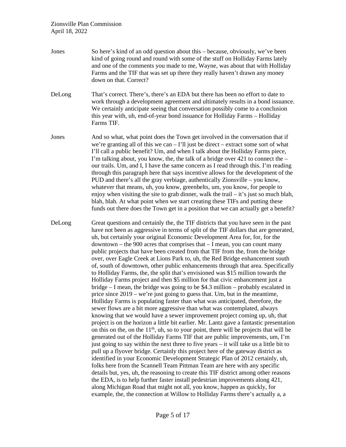Jones So here's kind of an odd question about this – because, obviously, we've been kind of going round and round with some of the stuff on Holliday Farms lately and one of the comments you made to me, Wayne, was about that with Holliday Farms and the TIF that was set up there they really haven't drawn any money down on that. Correct? DeLong That's correct. There's, there's an EDA but there has been no effort to date to work through a development agreement and ultimately results in a bond issuance. We certainly anticipate seeing that conversation possibly come to a conclusion this year with, uh, end-of-year bond issuance for Holliday Farms – Holliday Farms TIF. Jones And so what, what point does the Town get involved in the conversation that if we're granting all of this we can  $-$  I'll just be direct – extract some sort of what I'll call a public benefit? Um, and when I talk about the Holliday Farms piece, I'm talking about, you know, the, the talk of a bridge over  $421$  to connect the – our trails. Um, and I, I have the same concern as I read through this. I'm reading through this paragraph here that says incentive allows for the development of the PUD and there's all the gray verbiage, authentically Zionsville – you know, whatever that means, uh, you know, greenbelts, um, you know, for people to enjoy when visiting the site to grab dinner, walk the trail  $-$  it's just so much blah, blah, blah. At what point when we start creating these TIFs and putting these funds out there does the Town get in a position that we can actually get a benefit? DeLong Great questions and certainly the, the TIF districts that you have seen in the past have not been as aggressive in terms of split of the TIF dollars that are generated, uh, but certainly your original Economic Development Area for, for, for the downtown – the 900 acres that comprises that – I mean, you can count many public projects that have been created from that TIF from the, from the bridge over, over Eagle Creek at Lions Park to, uh, the Red Bridge enhancement south of, south of downtown, other public enhancements through that area. Specifically to Holliday Farms, the, the split that's envisioned was \$15 million towards the Holliday Farms project and then \$5 million for that civic enhancement just a bridge – I mean, the bridge was going to be \$4.3 million – probably escalated in price since 2019 – we're just going to guess that. Um, but in the meantime, Holliday Farms is populating faster than what was anticipated, therefore, the sewer flows are a bit more aggressive than what was contemplated, always knowing that we would have a sewer improvement project coming up, uh, that project is on the horizon a little bit earlier. Mr. Lantz gave a fantastic presentation on this on the, on the  $11<sup>th</sup>$ , uh, so to your point, there will be projects that will be generated out of the Holliday Farms TIF that are public improvements, um, I'm just going to say within the next three to five years – it will take us a little bit to pull up a flyover bridge. Certainly this project here of the gateway district as identified in your Economic Development Strategic Plan of 2012 certainly, uh, folks here from the Scannell Team Pittman Team are here with any specific details but, yes, uh, the reasoning to create this TIF district among other reasons the EDA, is to help further faster install pedestrian improvements along 421, along Michigan Road that might not all, you know, happen as quickly, for example, the, the connection at Willow to Holliday Farms there's actually a, a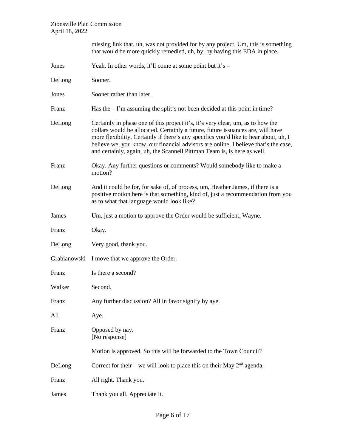|              | missing link that, uh, was not provided for by any project. Um, this is something<br>that would be more quickly remedied, uh, by, by having this EDA in place.                                                                                                                                                                                                                                                                |
|--------------|-------------------------------------------------------------------------------------------------------------------------------------------------------------------------------------------------------------------------------------------------------------------------------------------------------------------------------------------------------------------------------------------------------------------------------|
| Jones        | Yeah. In other words, it'll come at some point but it's $-$                                                                                                                                                                                                                                                                                                                                                                   |
| DeLong       | Sooner.                                                                                                                                                                                                                                                                                                                                                                                                                       |
| Jones        | Sooner rather than later.                                                                                                                                                                                                                                                                                                                                                                                                     |
| Franz        | Has the $-1$ 'm assuming the split's not been decided at this point in time?                                                                                                                                                                                                                                                                                                                                                  |
| DeLong       | Certainly in phase one of this project it's, it's very clear, um, as to how the<br>dollars would be allocated. Certainly a future, future issuances are, will have<br>more flexibility. Certainly if there's any specifics you'd like to hear about, uh, I<br>believe we, you know, our financial advisors are online, I believe that's the case,<br>and certainly, again, uh, the Scannell Pittman Team is, is here as well. |
| Franz        | Okay. Any further questions or comments? Would somebody like to make a<br>motion?                                                                                                                                                                                                                                                                                                                                             |
| DeLong       | And it could be for, for sake of, of process, um, Heather James, if there is a<br>positive motion here is that something, kind of, just a recommendation from you<br>as to what that language would look like?                                                                                                                                                                                                                |
| James        | Um, just a motion to approve the Order would be sufficient, Wayne.                                                                                                                                                                                                                                                                                                                                                            |
| Franz        | Okay.                                                                                                                                                                                                                                                                                                                                                                                                                         |
| DeLong       | Very good, thank you.                                                                                                                                                                                                                                                                                                                                                                                                         |
| Grabianowski | I move that we approve the Order.                                                                                                                                                                                                                                                                                                                                                                                             |
| Franz        | Is there a second?                                                                                                                                                                                                                                                                                                                                                                                                            |
| Walker       | Second.                                                                                                                                                                                                                                                                                                                                                                                                                       |
| Franz        | Any further discussion? All in favor signify by aye.                                                                                                                                                                                                                                                                                                                                                                          |
| All          | Aye.                                                                                                                                                                                                                                                                                                                                                                                                                          |
| Franz        | Opposed by nay.<br>[No response]                                                                                                                                                                                                                                                                                                                                                                                              |
|              | Motion is approved. So this will be forwarded to the Town Council?                                                                                                                                                                                                                                                                                                                                                            |
| DeLong       | Correct for their – we will look to place this on their May $2nd$ agenda.                                                                                                                                                                                                                                                                                                                                                     |
| Franz        | All right. Thank you.                                                                                                                                                                                                                                                                                                                                                                                                         |
| James        | Thank you all. Appreciate it.                                                                                                                                                                                                                                                                                                                                                                                                 |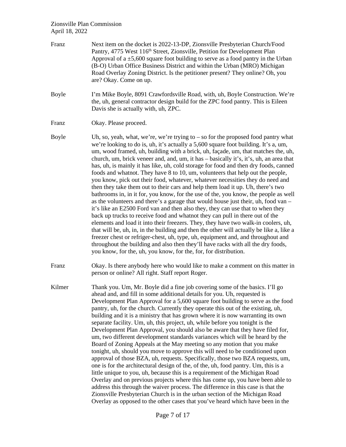Franz Next item on the docket is 2022-13-DP, Zionsville Presbyterian Church/Food Pantry, 4775 West 116<sup>th</sup> Street, Zionsville, Petition for Development Plan Approval of a  $\pm$ 5,600 square foot building to serve as a food pantry in the Urban (B-O) Urban Office Business District and within the Urban (MRO) Michigan Road Overlay Zoning District. Is the petitioner present? They online? Oh, you are? Okay. Come on up. Boyle I'm Mike Boyle, 8091 Crawfordsville Road, with, uh, Boyle Construction. We're the, uh, general contractor design build for the ZPC food pantry. This is Eileen Davis she is actually with, uh, ZPC. Franz Okay. Please proceed. Boyle Uh, so, yeah, what, we're, we're trying to  $-$  so for the proposed food pantry what we're looking to do is, uh, it's actually a 5,600 square foot building. It's a, um, um, wood framed, uh, building with a brick, uh, façade, um, that matches the, uh, church, um, brick veneer and, and, um, it has – basically it's, it's, uh, an area that has, uh, is mainly it has like, uh, cold storage for food and then dry foods, canned foods and whatnot. They have 8 to 10, um, volunteers that help out the people, you know, pick out their food, whatever, whatever necessities they do need and then they take them out to their cars and help them load it up. Uh, there's two bathrooms in, in it for, you know, for the use of the, you know, the people as well as the volunteers and there's a garage that would house just their, uh, food van – it's like an E2500 Ford van and then also they, they can use that to when they back up trucks to receive food and whatnot they can pull in there out of the elements and load it into their freezers. They, they have two walk-in coolers, uh, that will be, uh, in, in the building and then the other will actually be like a, like a freezer chest or refriger-chest, uh, type, uh, equipment and, and throughout and throughout the building and also then they'll have racks with all the dry foods, you know, for the, uh, you know, for the, for, for distribution. Franz Okay. Is there anybody here who would like to make a comment on this matter in person or online? All right. Staff report Roger. Kilmer Thank you. Um, Mr. Boyle did a fine job covering some of the basics. I'll go ahead and, and fill in some additional details for you. Uh, requested is Development Plan Approval for a 5,600 square foot building to serve as the food pantry, uh, for the church. Currently they operate this out of the existing, uh, building and it is a ministry that has grown where it is now warranting its own separate facility. Um, uh, this project, uh, while before you tonight is the Development Plan Approval, you should also be aware that they have filed for, um, two different development standards variances which will be heard by the Board of Zoning Appeals at the May meeting so any motion that you make tonight, uh, should you move to approve this will need to be conditioned upon approval of those BZA, uh, requests. Specifically, those two BZA requests, um, one is for the architectural design of the, of the, uh, food pantry. Um, this is a little unique to you, uh, because this is a requirement of the Michigan Road Overlay and on previous projects where this has come up, you have been able to address this through the waiver process. The difference in this case is that the Zionsville Presbyterian Church is in the urban section of the Michigan Road Overlay as opposed to the other cases that you've heard which have been in the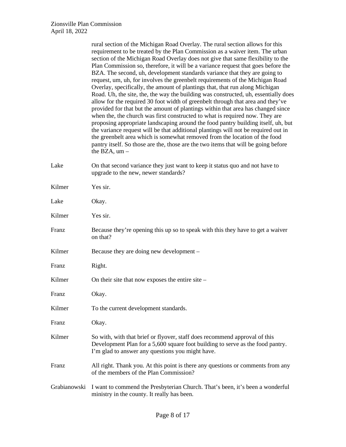|              | rural section of the Michigan Road Overlay. The rural section allows for this<br>requirement to be treated by the Plan Commission as a waiver item. The urban<br>section of the Michigan Road Overlay does not give that same flexibility to the<br>Plan Commission so, therefore, it will be a variance request that goes before the<br>BZA. The second, uh, development standards variance that they are going to<br>request, um, uh, for involves the greenbelt requirements of the Michigan Road<br>Overlay, specifically, the amount of plantings that, that run along Michigan<br>Road. Uh, the site, the, the way the building was constructed, uh, essentially does<br>allow for the required 30 foot width of greenbelt through that area and they've<br>provided for that but the amount of plantings within that area has changed since<br>when the, the church was first constructed to what is required now. They are<br>proposing appropriate landscaping around the food pantry building itself, uh, but<br>the variance request will be that additional plantings will not be required out in<br>the greenbelt area which is somewhat removed from the location of the food<br>pantry itself. So those are the, those are the two items that will be going before<br>the BZA, $um -$ |
|--------------|------------------------------------------------------------------------------------------------------------------------------------------------------------------------------------------------------------------------------------------------------------------------------------------------------------------------------------------------------------------------------------------------------------------------------------------------------------------------------------------------------------------------------------------------------------------------------------------------------------------------------------------------------------------------------------------------------------------------------------------------------------------------------------------------------------------------------------------------------------------------------------------------------------------------------------------------------------------------------------------------------------------------------------------------------------------------------------------------------------------------------------------------------------------------------------------------------------------------------------------------------------------------------------------------------|
| Lake         | On that second variance they just want to keep it status quo and not have to<br>upgrade to the new, newer standards?                                                                                                                                                                                                                                                                                                                                                                                                                                                                                                                                                                                                                                                                                                                                                                                                                                                                                                                                                                                                                                                                                                                                                                                 |
| Kilmer       | Yes sir.                                                                                                                                                                                                                                                                                                                                                                                                                                                                                                                                                                                                                                                                                                                                                                                                                                                                                                                                                                                                                                                                                                                                                                                                                                                                                             |
| Lake         | Okay.                                                                                                                                                                                                                                                                                                                                                                                                                                                                                                                                                                                                                                                                                                                                                                                                                                                                                                                                                                                                                                                                                                                                                                                                                                                                                                |
| Kilmer       | Yes sir.                                                                                                                                                                                                                                                                                                                                                                                                                                                                                                                                                                                                                                                                                                                                                                                                                                                                                                                                                                                                                                                                                                                                                                                                                                                                                             |
| Franz        | Because they're opening this up so to speak with this they have to get a waiver<br>on that?                                                                                                                                                                                                                                                                                                                                                                                                                                                                                                                                                                                                                                                                                                                                                                                                                                                                                                                                                                                                                                                                                                                                                                                                          |
| Kilmer       | Because they are doing new development –                                                                                                                                                                                                                                                                                                                                                                                                                                                                                                                                                                                                                                                                                                                                                                                                                                                                                                                                                                                                                                                                                                                                                                                                                                                             |
| Franz        | Right.                                                                                                                                                                                                                                                                                                                                                                                                                                                                                                                                                                                                                                                                                                                                                                                                                                                                                                                                                                                                                                                                                                                                                                                                                                                                                               |
| Kilmer       | On their site that now exposes the entire site $-$                                                                                                                                                                                                                                                                                                                                                                                                                                                                                                                                                                                                                                                                                                                                                                                                                                                                                                                                                                                                                                                                                                                                                                                                                                                   |
| Franz        | Okay.                                                                                                                                                                                                                                                                                                                                                                                                                                                                                                                                                                                                                                                                                                                                                                                                                                                                                                                                                                                                                                                                                                                                                                                                                                                                                                |
| Kilmer       | To the current development standards.                                                                                                                                                                                                                                                                                                                                                                                                                                                                                                                                                                                                                                                                                                                                                                                                                                                                                                                                                                                                                                                                                                                                                                                                                                                                |
| Franz        | Okay.                                                                                                                                                                                                                                                                                                                                                                                                                                                                                                                                                                                                                                                                                                                                                                                                                                                                                                                                                                                                                                                                                                                                                                                                                                                                                                |
| Kilmer       | So with, with that brief or flyover, staff does recommend approval of this<br>Development Plan for a 5,600 square foot building to serve as the food pantry.<br>I'm glad to answer any questions you might have.                                                                                                                                                                                                                                                                                                                                                                                                                                                                                                                                                                                                                                                                                                                                                                                                                                                                                                                                                                                                                                                                                     |
| Franz        | All right. Thank you. At this point is there any questions or comments from any<br>of the members of the Plan Commission?                                                                                                                                                                                                                                                                                                                                                                                                                                                                                                                                                                                                                                                                                                                                                                                                                                                                                                                                                                                                                                                                                                                                                                            |
| Grabianowski | I want to commend the Presbyterian Church. That's been, it's been a wonderful<br>ministry in the county. It really has been.                                                                                                                                                                                                                                                                                                                                                                                                                                                                                                                                                                                                                                                                                                                                                                                                                                                                                                                                                                                                                                                                                                                                                                         |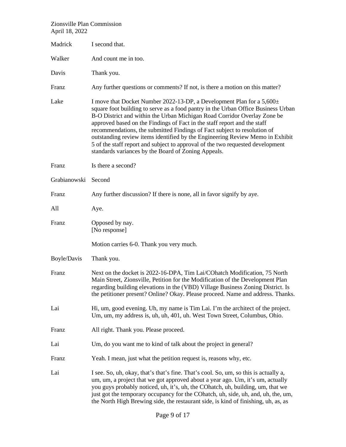| 11111101704        |                                                                                                                                                                                                                                                                                                                                                                                                                                                                                                                                                                                                                          |
|--------------------|--------------------------------------------------------------------------------------------------------------------------------------------------------------------------------------------------------------------------------------------------------------------------------------------------------------------------------------------------------------------------------------------------------------------------------------------------------------------------------------------------------------------------------------------------------------------------------------------------------------------------|
| Madrick            | I second that.                                                                                                                                                                                                                                                                                                                                                                                                                                                                                                                                                                                                           |
| Walker             | And count me in too.                                                                                                                                                                                                                                                                                                                                                                                                                                                                                                                                                                                                     |
| Davis              | Thank you.                                                                                                                                                                                                                                                                                                                                                                                                                                                                                                                                                                                                               |
| Franz              | Any further questions or comments? If not, is there a motion on this matter?                                                                                                                                                                                                                                                                                                                                                                                                                                                                                                                                             |
| Lake               | I move that Docket Number 2022-13-DP, a Development Plan for a 5,600±<br>square foot building to serve as a food pantry in the Urban Office Business Urban<br>B-O District and within the Urban Michigan Road Corridor Overlay Zone be<br>approved based on the Findings of Fact in the staff report and the staff<br>recommendations, the submitted Findings of Fact subject to resolution of<br>outstanding review items identified by the Engineering Review Memo in Exhibit<br>5 of the staff report and subject to approval of the two requested development<br>standards variances by the Board of Zoning Appeals. |
| Franz              | Is there a second?                                                                                                                                                                                                                                                                                                                                                                                                                                                                                                                                                                                                       |
| Grabianowski       | Second                                                                                                                                                                                                                                                                                                                                                                                                                                                                                                                                                                                                                   |
| Franz              | Any further discussion? If there is none, all in favor signify by aye.                                                                                                                                                                                                                                                                                                                                                                                                                                                                                                                                                   |
| All                | Aye.                                                                                                                                                                                                                                                                                                                                                                                                                                                                                                                                                                                                                     |
| Franz              | Opposed by nay.<br>[No response]                                                                                                                                                                                                                                                                                                                                                                                                                                                                                                                                                                                         |
|                    | Motion carries 6-0. Thank you very much.                                                                                                                                                                                                                                                                                                                                                                                                                                                                                                                                                                                 |
| <b>Boyle/Davis</b> | Thank you.                                                                                                                                                                                                                                                                                                                                                                                                                                                                                                                                                                                                               |
| Franz              | Next on the docket is 2022-16-DPA, Tim Lai/COhatch Modification, 75 North<br>Main Street, Zionsville, Petition for the Modification of the Development Plan<br>regarding building elevations in the (VBD) Village Business Zoning District. Is<br>the petitioner present? Online? Okay. Please proceed. Name and address. Thanks.                                                                                                                                                                                                                                                                                        |
| Lai                | Hi, um, good evening. Uh, my name is Tim Lai. I'm the architect of the project.<br>Um, um, my address is, uh, uh, 401, uh. West Town Street, Columbus, Ohio.                                                                                                                                                                                                                                                                                                                                                                                                                                                             |
| Franz              | All right. Thank you. Please proceed.                                                                                                                                                                                                                                                                                                                                                                                                                                                                                                                                                                                    |
| Lai                | Um, do you want me to kind of talk about the project in general?                                                                                                                                                                                                                                                                                                                                                                                                                                                                                                                                                         |
| Franz              | Yeah. I mean, just what the petition request is, reasons why, etc.                                                                                                                                                                                                                                                                                                                                                                                                                                                                                                                                                       |
| Lai                | I see. So, uh, okay, that's that's fine. That's cool. So, um, so this is actually a,<br>um, um, a project that we got approved about a year ago. Um, it's um, actually<br>you guys probably noticed, uh, it's, uh, the COhatch, uh, building, um, that we<br>just got the temporary occupancy for the CO hatch, uh, side, uh, and, uh, the, um,<br>the North High Brewing side, the restaurant side, is kind of finishing, uh, as, as                                                                                                                                                                                    |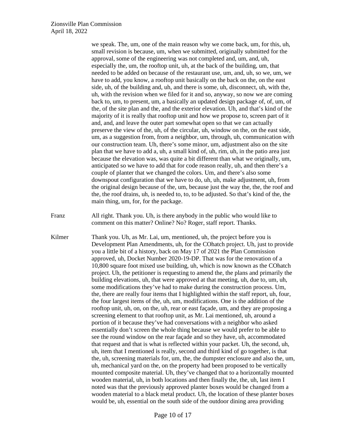we speak. The, um, one of the main reason why we come back, um, for this, uh, small revision is because, um, when we submitted, originally submitted for the approval, some of the engineering was not completed and, um, and, uh, especially the, um, the rooftop unit, uh, at the back of the building, um, that needed to be added on because of the restaurant use, um, and, uh, so we, um, we have to add, you know, a rooftop unit basically on the back on the, on the east side, uh, of the building and, uh, and there is some, uh, disconnect, uh, with the, uh, with the revision when we filed for it and so, anyway, so now we are coming back to, um, to present, um, a basically an updated design package of, of, um, of the, of the site plan and the, and the exterior elevation. Uh, and that's kind of the majority of it is really that rooftop unit and how we propose to, screen part of it and, and, and leave the outer part somewhat open so that we can actually preserve the view of the, uh, of the circular, uh, window on the, on the east side, um, as a suggestion from, from a neighbor, um, through, uh, communication with our construction team. Uh, there's some minor, um, adjustment also on the site plan that we have to add a, uh, a small kind of, uh, rim, uh, in the patio area just because the elevation was, was quite a bit different than what we originally, um, anticipated so we have to add that for code reason really, uh, and then there's a couple of planter that we changed the colors. Um, and there's also some downspout configuration that we have to do, uh, uh, make adjustment, uh, from the original design because of the, um, because just the way the, the, the roof and the, the roof drains, uh, is needed to, to, to be adjusted. So that's kind of the, the main thing, um, for, for the package.

Franz All right. Thank you. Uh, is there anybody in the public who would like to comment on this matter? Online? No? Roger, staff report. Thanks.

Kilmer Thank you. Uh, as Mr. Lai, um, mentioned, uh, the project before you is Development Plan Amendments, uh, for the COhatch project. Uh, just to provide you a little bit of a history, back on May 17 of 2021 the Plan Commission approved, uh, Docket Number 2020-19-DP. That was for the renovation of a 10,800 square foot mixed use building, uh, which is now known as the COhatch project. Uh, the petitioner is requesting to amend the, the plans and primarily the building elevations, uh, that were approved at that meeting, uh, due to, um, uh, some modifications they've had to make during the construction process. Um, the, there are really four items that I highlighted within the staff report, uh, four, the four largest items of the, uh, um, modifications. One is the addition of the rooftop unit, uh, on, on the, uh, rear or east façade, um, and they are proposing a screening element to that rooftop unit, as Mr. Lai mentioned, uh, around a portion of it because they've had conversations with a neighbor who asked essentially don't screen the whole thing because we would prefer to be able to see the round window on the rear façade and so they have, uh, accommodated that request and that is what is reflected within your packet. Uh, the second, uh, uh, item that I mentioned is really, second and third kind of go together, is that the, uh, screening materials for, um, the, the dumpster enclosure and also the, um, uh, mechanical yard on the, on the property had been proposed to be vertically mounted composite material. Uh, they've changed that to a horizontally mounted wooden material, uh, in both locations and then finally the, the, uh, last item I noted was that the previously approved planter boxes would be changed from a wooden material to a black metal product. Uh, the location of these planter boxes would be, uh, essential on the south side of the outdoor dining area providing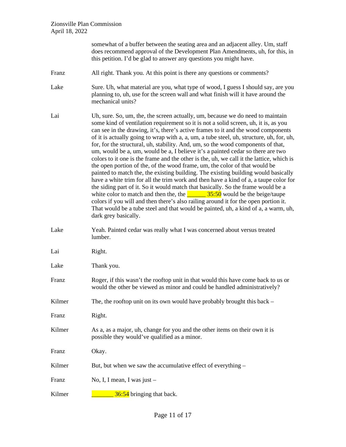|        | somewhat of a buffer between the seating area and an adjacent alley. Um, staff<br>does recommend approval of the Development Plan Amendments, uh, for this, in<br>this petition. I'd be glad to answer any questions you might have.                                                                                                                                                                                                                                                                                                                                                                                                                                                                                                                                                                                                                                                                                                                                                                                                                                                                                                                                                                                                                                |
|--------|---------------------------------------------------------------------------------------------------------------------------------------------------------------------------------------------------------------------------------------------------------------------------------------------------------------------------------------------------------------------------------------------------------------------------------------------------------------------------------------------------------------------------------------------------------------------------------------------------------------------------------------------------------------------------------------------------------------------------------------------------------------------------------------------------------------------------------------------------------------------------------------------------------------------------------------------------------------------------------------------------------------------------------------------------------------------------------------------------------------------------------------------------------------------------------------------------------------------------------------------------------------------|
| Franz  | All right. Thank you. At this point is there any questions or comments?                                                                                                                                                                                                                                                                                                                                                                                                                                                                                                                                                                                                                                                                                                                                                                                                                                                                                                                                                                                                                                                                                                                                                                                             |
| Lake   | Sure. Uh, what material are you, what type of wood, I guess I should say, are you<br>planning to, uh, use for the screen wall and what finish will it have around the<br>mechanical units?                                                                                                                                                                                                                                                                                                                                                                                                                                                                                                                                                                                                                                                                                                                                                                                                                                                                                                                                                                                                                                                                          |
| Lai    | Uh, sure. So, um, the, the screen actually, um, because we do need to maintain<br>some kind of ventilation requirement so it is not a solid screen, uh, it is, as you<br>can see in the drawing, it's, there's active frames to it and the wood components<br>of it is actually going to wrap with a, a, um, a tube steel, uh, structure, uh, for, uh,<br>for, for the structural, uh, stability. And, um, so the wood components of that,<br>um, would be a, um, would be a, I believe it's a painted cedar so there are two<br>colors to it one is the frame and the other is the, uh, we call it the lattice, which is<br>the open portion of the, of the wood frame, um, the color of that would be<br>painted to match the, the existing building. The existing building would basically<br>have a white trim for all the trim work and then have a kind of a, a taupe color for<br>the siding part of it. So it would match that basically. So the frame would be a<br>white color to match and then the, the $\frac{35:50}{2}$ would be the beige/taupe<br>colors if you will and then there's also railing around it for the open portion it.<br>That would be a tube steel and that would be painted, uh, a kind of a, a warm, uh,<br>dark grey basically. |
| Lake   | Yeah. Painted cedar was really what I was concerned about versus treated<br>lumber.                                                                                                                                                                                                                                                                                                                                                                                                                                                                                                                                                                                                                                                                                                                                                                                                                                                                                                                                                                                                                                                                                                                                                                                 |
| Lai    | Right.                                                                                                                                                                                                                                                                                                                                                                                                                                                                                                                                                                                                                                                                                                                                                                                                                                                                                                                                                                                                                                                                                                                                                                                                                                                              |
| Lake   | Thank you.                                                                                                                                                                                                                                                                                                                                                                                                                                                                                                                                                                                                                                                                                                                                                                                                                                                                                                                                                                                                                                                                                                                                                                                                                                                          |
| Franz  | Roger, if this wasn't the rooftop unit in that would this have come back to us or<br>would the other be viewed as minor and could be handled administratively?                                                                                                                                                                                                                                                                                                                                                                                                                                                                                                                                                                                                                                                                                                                                                                                                                                                                                                                                                                                                                                                                                                      |
| Kilmer | The, the rooftop unit on its own would have probably brought this back $-$                                                                                                                                                                                                                                                                                                                                                                                                                                                                                                                                                                                                                                                                                                                                                                                                                                                                                                                                                                                                                                                                                                                                                                                          |
| Franz  | Right.                                                                                                                                                                                                                                                                                                                                                                                                                                                                                                                                                                                                                                                                                                                                                                                                                                                                                                                                                                                                                                                                                                                                                                                                                                                              |
| Kilmer | As a, as a major, uh, change for you and the other items on their own it is<br>possible they would've qualified as a minor.                                                                                                                                                                                                                                                                                                                                                                                                                                                                                                                                                                                                                                                                                                                                                                                                                                                                                                                                                                                                                                                                                                                                         |
| Franz  | Okay.                                                                                                                                                                                                                                                                                                                                                                                                                                                                                                                                                                                                                                                                                                                                                                                                                                                                                                                                                                                                                                                                                                                                                                                                                                                               |
| Kilmer | But, but when we saw the accumulative effect of everything –                                                                                                                                                                                                                                                                                                                                                                                                                                                                                                                                                                                                                                                                                                                                                                                                                                                                                                                                                                                                                                                                                                                                                                                                        |
| Franz  | No, I, I mean, I was just -                                                                                                                                                                                                                                                                                                                                                                                                                                                                                                                                                                                                                                                                                                                                                                                                                                                                                                                                                                                                                                                                                                                                                                                                                                         |
| Kilmer | 36:54 bringing that back.                                                                                                                                                                                                                                                                                                                                                                                                                                                                                                                                                                                                                                                                                                                                                                                                                                                                                                                                                                                                                                                                                                                                                                                                                                           |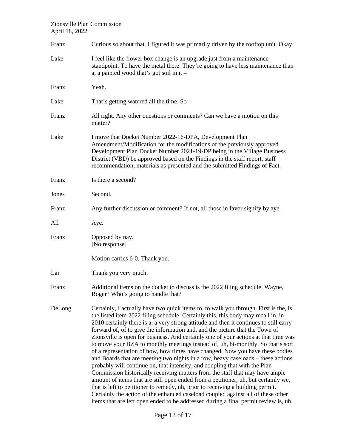| Franz  | Curious so about that. I figured it was primarily driven by the rooftop unit. Okay.                                                                                                                                                                                                                                                                                                                                                                                                                                                                                                                                                                                                                                                                                                                                                                                                                                                                                                                                                                                                                                                                                                                                  |
|--------|----------------------------------------------------------------------------------------------------------------------------------------------------------------------------------------------------------------------------------------------------------------------------------------------------------------------------------------------------------------------------------------------------------------------------------------------------------------------------------------------------------------------------------------------------------------------------------------------------------------------------------------------------------------------------------------------------------------------------------------------------------------------------------------------------------------------------------------------------------------------------------------------------------------------------------------------------------------------------------------------------------------------------------------------------------------------------------------------------------------------------------------------------------------------------------------------------------------------|
| Lake   | I feel like the flower box change is an upgrade just from a maintenance<br>standpoint. To have the metal there. They're going to have less maintenance than<br>a, a painted wood that's got soil in it -                                                                                                                                                                                                                                                                                                                                                                                                                                                                                                                                                                                                                                                                                                                                                                                                                                                                                                                                                                                                             |
| Franz  | Yeah.                                                                                                                                                                                                                                                                                                                                                                                                                                                                                                                                                                                                                                                                                                                                                                                                                                                                                                                                                                                                                                                                                                                                                                                                                |
| Lake   | That's getting watered all the time. $So -$                                                                                                                                                                                                                                                                                                                                                                                                                                                                                                                                                                                                                                                                                                                                                                                                                                                                                                                                                                                                                                                                                                                                                                          |
| Franz  | All right. Any other questions or comments? Can we have a motion on this<br>matter?                                                                                                                                                                                                                                                                                                                                                                                                                                                                                                                                                                                                                                                                                                                                                                                                                                                                                                                                                                                                                                                                                                                                  |
| Lake   | I move that Docket Number 2022-16-DPA, Development Plan<br>Amendment/Modification for the modifications of the previously approved<br>Development Plan Docket Number 2021-19-DP being in the Village Business<br>District (VBD) be approved based on the Findings in the staff report, staff<br>recommendation, materials as presented and the submitted Findings of Fact.                                                                                                                                                                                                                                                                                                                                                                                                                                                                                                                                                                                                                                                                                                                                                                                                                                           |
| Franz  | Is there a second?                                                                                                                                                                                                                                                                                                                                                                                                                                                                                                                                                                                                                                                                                                                                                                                                                                                                                                                                                                                                                                                                                                                                                                                                   |
| Jones  | Second.                                                                                                                                                                                                                                                                                                                                                                                                                                                                                                                                                                                                                                                                                                                                                                                                                                                                                                                                                                                                                                                                                                                                                                                                              |
| Franz  | Any further discussion or comment? If not, all those in favor signify by aye.                                                                                                                                                                                                                                                                                                                                                                                                                                                                                                                                                                                                                                                                                                                                                                                                                                                                                                                                                                                                                                                                                                                                        |
| All    | Aye.                                                                                                                                                                                                                                                                                                                                                                                                                                                                                                                                                                                                                                                                                                                                                                                                                                                                                                                                                                                                                                                                                                                                                                                                                 |
| Franz  | Opposed by nay.<br>[No response]                                                                                                                                                                                                                                                                                                                                                                                                                                                                                                                                                                                                                                                                                                                                                                                                                                                                                                                                                                                                                                                                                                                                                                                     |
|        | Motion carries 6-0. Thank you.                                                                                                                                                                                                                                                                                                                                                                                                                                                                                                                                                                                                                                                                                                                                                                                                                                                                                                                                                                                                                                                                                                                                                                                       |
| Lai    | Thank you very much.                                                                                                                                                                                                                                                                                                                                                                                                                                                                                                                                                                                                                                                                                                                                                                                                                                                                                                                                                                                                                                                                                                                                                                                                 |
| Franz  | Additional items on the docket to discuss is the 2022 filing schedule. Wayne,<br>Roger? Who's going to handle that?                                                                                                                                                                                                                                                                                                                                                                                                                                                                                                                                                                                                                                                                                                                                                                                                                                                                                                                                                                                                                                                                                                  |
| DeLong | Certainly, I actually have two quick items to, to walk you through. First is the, is<br>the listed item 2022 filing schedule. Certainly this, this body may recall in, in<br>2010 certainly there is a, a very strong attitude and then it continues to still carry<br>forward of, of to give the information and, and the picture that the Town of<br>Zionsville is open for business. And certainly one of your actions at that time was<br>to move your BZA to monthly meetings instead of, uh, bi-monthly. So that's sort<br>of a representation of how, how times have changed. Now you have these bodies<br>and Boards that are meeting two nights in a row, heavy caseloads – these actions<br>probably will continue on, that intensity, and coupling that with the Plan<br>Commission historically receiving matters from the staff that may have ample<br>amount of items that are still open ended from a petitioner, uh, but certainly we,<br>that is left to petitioner to remedy, uh, prior to receiving a building permit.<br>Certainly the action of the enhanced caseload coupled against all of these other<br>items that are left open ended to be addressed during a final permit review is, uh, |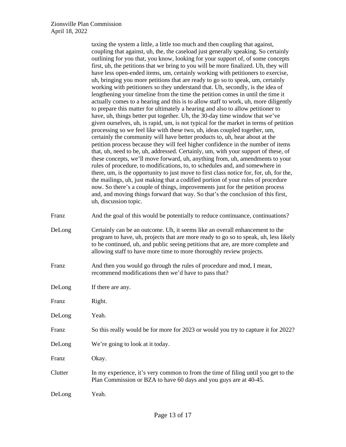taxing the system a little, a little too much and then coupling that against, coupling that against, uh, the, the caseload just generally speaking. So certainly outlining for you that, you know, looking for your support of, of some concepts first, uh, the petitions that we bring to you will be more finalized. Uh, they will have less open-ended items, um, certainly working with petitioners to exercise, uh, bringing you more petitions that are ready to go so to speak, um, certainly working with petitioners so they understand that. Uh, secondly, is the idea of lengthening your timeline from the time the petition comes in until the time it actually comes to a hearing and this is to allow staff to work, uh, more diligently to prepare this matter for ultimately a hearing and also to allow petitioner to have, uh, things better put together. Uh, the 30-day time window that we've given ourselves, uh, is rapid, um, is not typical for the market in terms of petition processing so we feel like with these two, uh, ideas coupled together, um, certainly the community will have better products to, uh, hear about at the petition process because they will feel higher confidence in the number of items that, uh, need to be, uh, addressed. Certainly, um, with your support of these, of these concepts, we'll move forward, uh, anything from, uh, amendments to your rules of procedure, to modifications, to, to schedules and, and somewhere in there, um, is the opportunity to just move to first class notice for, for, uh, for the, the mailings, uh, just making that a codified portion of your rules of procedure now. So there's a couple of things, improvements just for the petition process and, and moving things forward that way. So that's the conclusion of this first, uh, discussion topic.

Franz And the goal of this would be potentially to reduce continuance, continuations?

- DeLong Certainly can be an outcome. Uh, it seems like an overall enhancement to the program to have, uh, projects that are more ready to go so to speak, uh, less likely to be continued, uh, and public seeing petitions that are, are more complete and allowing staff to have more time to more thoroughly review projects.
- Franz And then you would go through the rules of procedure and mod, I mean, recommend modifications then we'd have to pass that?
- DeLong If there are any.
- Franz Right.
- DeLong Yeah.
- Franz So this really would be for more for 2023 or would you try to capture it for 2022?
- DeLong We're going to look at it today.
- Franz Okay.
- Clutter In my experience, it's very common to from the time of filing until you get to the Plan Commission or BZA to have 60 days and you guys are at 40-45.
- DeLong Yeah.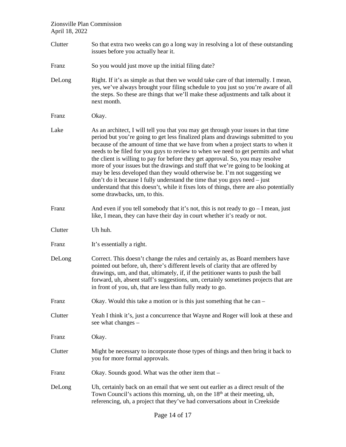- Clutter So that extra two weeks can go a long way in resolving a lot of these outstanding issues before you actually hear it.
- Franz So you would just move up the initial filing date?
- DeLong Right. If it's as simple as that then we would take care of that internally. I mean, yes, we've always brought your filing schedule to you just so you're aware of all the steps. So these are things that we'll make these adjustments and talk about it next month.
- Franz Okay.
- Lake As an architect, I will tell you that you may get through your issues in that time period but you're going to get less finalized plans and drawings submitted to you because of the amount of time that we have from when a project starts to when it needs to be filed for you guys to review to when we need to get permits and what the client is willing to pay for before they get approval. So, you may resolve more of your issues but the drawings and stuff that we're going to be looking at may be less developed than they would otherwise be. I'm not suggesting we don't do it because I fully understand the time that you guys need – just understand that this doesn't, while it fixes lots of things, there are also potentially some drawbacks, um, to this.
- Franz And even if you tell somebody that it's not, this is not ready to go I mean, just like, I mean, they can have their day in court whether it's ready or not.
- Clutter Uh huh.
- Franz It's essentially a right.
- DeLong Correct. This doesn't change the rules and certainly as, as Board members have pointed out before, uh, there's different levels of clarity that are offered by drawings, um, and that, ultimately, if, if the petitioner wants to push the ball forward, uh, absent staff's suggestions, um, certainly sometimes projects that are in front of you, uh, that are less than fully ready to go.
- Franz Okay. Would this take a motion or is this just something that he can –
- Clutter Yeah I think it's, just a concurrence that Wayne and Roger will look at these and see what changes –
- Franz Okay.
- Clutter Might be necessary to incorporate those types of things and then bring it back to you for more formal approvals.
- Franz Okay. Sounds good. What was the other item that –
- DeLong Uh, certainly back on an email that we sent out earlier as a direct result of the Town Council's actions this morning, uh, on the  $18<sup>th</sup>$  at their meeting, uh, referencing, uh, a project that they've had conversations about in Creekside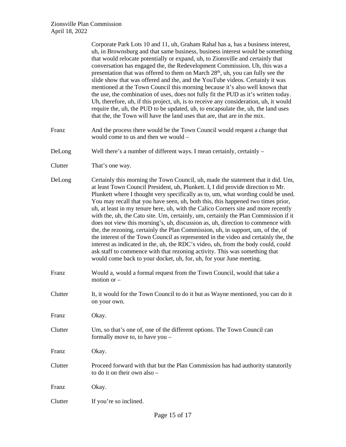|         | Corporate Park Lots 10 and 11, uh, Graham Rahal has a, has a business interest,<br>uh, in Brownsburg and that same business, business interest would be something<br>that would relocate potentially or expand, uh, to Zionsville and certainly that<br>conversation has engaged the, the Redevelopment Commission. Uh, this was a<br>presentation that was offered to them on March 28 <sup>th</sup> , uh, you can fully see the<br>slide show that was offered and the, and the YouTube videos. Certainly it was<br>mentioned at the Town Council this morning because it's also well known that<br>the use, the combination of uses, does not fully fit the PUD as it's written today.<br>Uh, therefore, uh, if this project, uh, is to receive any consideration, uh, it would<br>require the, uh, the PUD to be updated, uh, to encapsulate the, uh, the land uses<br>that the, the Town will have the land uses that are, that are in the mix.                                                                               |
|---------|------------------------------------------------------------------------------------------------------------------------------------------------------------------------------------------------------------------------------------------------------------------------------------------------------------------------------------------------------------------------------------------------------------------------------------------------------------------------------------------------------------------------------------------------------------------------------------------------------------------------------------------------------------------------------------------------------------------------------------------------------------------------------------------------------------------------------------------------------------------------------------------------------------------------------------------------------------------------------------------------------------------------------------|
| Franz   | And the process there would be the Town Council would request a change that<br>would come to us and then we would –                                                                                                                                                                                                                                                                                                                                                                                                                                                                                                                                                                                                                                                                                                                                                                                                                                                                                                                |
| DeLong  | Well there's a number of different ways. I mean certainly, certainly -                                                                                                                                                                                                                                                                                                                                                                                                                                                                                                                                                                                                                                                                                                                                                                                                                                                                                                                                                             |
| Clutter | That's one way.                                                                                                                                                                                                                                                                                                                                                                                                                                                                                                                                                                                                                                                                                                                                                                                                                                                                                                                                                                                                                    |
| DeLong  | Certainly this morning the Town Council, uh, made the statement that it did. Um,<br>at least Town Council President, uh, Plunkett. I, I did provide direction to Mr.<br>Plunkett where I thought very specifically as to, um, what wording could be used.<br>You may recall that you have seen, uh, both this, this happened two times prior,<br>uh, at least in my tenure here, uh, with the Calico Corners site and more recently<br>with the, uh, the Cato site. Um, certainly, um, certainly the Plan Commission if it<br>does not view this morning's, uh, discussion as, uh, direction to commence with<br>the, the rezoning, certainly the Plan Commission, uh, in support, um, of the, of<br>the interest of the Town Council as represented in the video and certainly the, the<br>interest as indicated in the, uh, the RDC's video, uh, from the body could, could<br>ask staff to commence with that rezoning activity. This was something that<br>would come back to your docket, uh, for, uh, for your June meeting. |
| Franz   | Would a, would a formal request from the Town Council, would that take a<br>motion or $-$                                                                                                                                                                                                                                                                                                                                                                                                                                                                                                                                                                                                                                                                                                                                                                                                                                                                                                                                          |
| Clutter | It, it would for the Town Council to do it but as Wayne mentioned, you can do it<br>on your own.                                                                                                                                                                                                                                                                                                                                                                                                                                                                                                                                                                                                                                                                                                                                                                                                                                                                                                                                   |
| Franz   | Okay.                                                                                                                                                                                                                                                                                                                                                                                                                                                                                                                                                                                                                                                                                                                                                                                                                                                                                                                                                                                                                              |
| Clutter | Um, so that's one of, one of the different options. The Town Council can<br>formally move to, to have you -                                                                                                                                                                                                                                                                                                                                                                                                                                                                                                                                                                                                                                                                                                                                                                                                                                                                                                                        |
| Franz   | Okay.                                                                                                                                                                                                                                                                                                                                                                                                                                                                                                                                                                                                                                                                                                                                                                                                                                                                                                                                                                                                                              |
| Clutter | Proceed forward with that but the Plan Commission has had authority statutorily<br>to do it on their own also -                                                                                                                                                                                                                                                                                                                                                                                                                                                                                                                                                                                                                                                                                                                                                                                                                                                                                                                    |
| Franz   | Okay.                                                                                                                                                                                                                                                                                                                                                                                                                                                                                                                                                                                                                                                                                                                                                                                                                                                                                                                                                                                                                              |
| Clutter | If you're so inclined.                                                                                                                                                                                                                                                                                                                                                                                                                                                                                                                                                                                                                                                                                                                                                                                                                                                                                                                                                                                                             |
|         |                                                                                                                                                                                                                                                                                                                                                                                                                                                                                                                                                                                                                                                                                                                                                                                                                                                                                                                                                                                                                                    |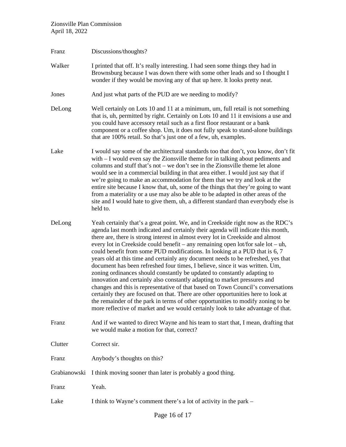| Franz        | Discussions/thoughts?                                                                                                                                                                                                                                                                                                                                                                                                                                                                                                                                                                                                                                                                                                                                                                                                                                                                                                                                                                                                                                                                                     |
|--------------|-----------------------------------------------------------------------------------------------------------------------------------------------------------------------------------------------------------------------------------------------------------------------------------------------------------------------------------------------------------------------------------------------------------------------------------------------------------------------------------------------------------------------------------------------------------------------------------------------------------------------------------------------------------------------------------------------------------------------------------------------------------------------------------------------------------------------------------------------------------------------------------------------------------------------------------------------------------------------------------------------------------------------------------------------------------------------------------------------------------|
| Walker       | I printed that off. It's really interesting. I had seen some things they had in<br>Brownsburg because I was down there with some other leads and so I thought I<br>wonder if they would be moving any of that up here. It looks pretty neat.                                                                                                                                                                                                                                                                                                                                                                                                                                                                                                                                                                                                                                                                                                                                                                                                                                                              |
| Jones        | And just what parts of the PUD are we needing to modify?                                                                                                                                                                                                                                                                                                                                                                                                                                                                                                                                                                                                                                                                                                                                                                                                                                                                                                                                                                                                                                                  |
| DeLong       | Well certainly on Lots 10 and 11 at a minimum, um, full retail is not something<br>that is, uh, permitted by right. Certainly on Lots 10 and 11 it envisions a use and<br>you could have accessory retail such as a first floor restaurant or a bank<br>component or a coffee shop. Um, it does not fully speak to stand-alone buildings<br>that are 100% retail. So that's just one of a few, uh, examples.                                                                                                                                                                                                                                                                                                                                                                                                                                                                                                                                                                                                                                                                                              |
| Lake         | I would say some of the architectural standards too that don't, you know, don't fit<br>with $-$ I would even say the Zionsville theme for in talking about pediments and<br>columns and stuff that's not – we don't see in the Zionsville theme let alone<br>would see in a commercial building in that area either. I would just say that if<br>we're going to make an accommodation for them that we try and look at the<br>entire site because I know that, uh, some of the things that they're going to want<br>from a materiality or a use may also be able to be adapted in other areas of the<br>site and I would hate to give them, uh, a different standard than everybody else is<br>held to.                                                                                                                                                                                                                                                                                                                                                                                                   |
| DeLong       | Yeah certainly that's a great point. We, and in Creekside right now as the RDC's<br>agenda last month indicated and certainly their agenda will indicate this month,<br>there are, there is strong interest in almost every lot in Creekside and almost<br>every lot in Creekside could benefit – any remaining open lot/for sale lot – uh,<br>could benefit from some PUD modifications. In looking at a PUD that is 6, 7<br>years old at this time and certainly any document needs to be refreshed, yes that<br>document has been refreshed four times, I believe, since it was written. Um,<br>zoning ordinances should constantly be updated to constantly adapting to<br>innovation and certainly also constantly adapting to market pressures and<br>changes and this is representative of that based on Town Council's conversations<br>certainly they are focused on that. There are other opportunities here to look at<br>the remainder of the park in terms of other opportunities to modify zoning to be<br>more reflective of market and we would certainly look to take advantage of that. |
| Franz        | And if we wanted to direct Wayne and his team to start that, I mean, drafting that<br>we would make a motion for that, correct?                                                                                                                                                                                                                                                                                                                                                                                                                                                                                                                                                                                                                                                                                                                                                                                                                                                                                                                                                                           |
| Clutter      | Correct sir.                                                                                                                                                                                                                                                                                                                                                                                                                                                                                                                                                                                                                                                                                                                                                                                                                                                                                                                                                                                                                                                                                              |
| Franz        | Anybody's thoughts on this?                                                                                                                                                                                                                                                                                                                                                                                                                                                                                                                                                                                                                                                                                                                                                                                                                                                                                                                                                                                                                                                                               |
| Grabianowski | I think moving sooner than later is probably a good thing.                                                                                                                                                                                                                                                                                                                                                                                                                                                                                                                                                                                                                                                                                                                                                                                                                                                                                                                                                                                                                                                |
| Franz        | Yeah.                                                                                                                                                                                                                                                                                                                                                                                                                                                                                                                                                                                                                                                                                                                                                                                                                                                                                                                                                                                                                                                                                                     |
| Lake         | I think to Wayne's comment there's a lot of activity in the park –                                                                                                                                                                                                                                                                                                                                                                                                                                                                                                                                                                                                                                                                                                                                                                                                                                                                                                                                                                                                                                        |